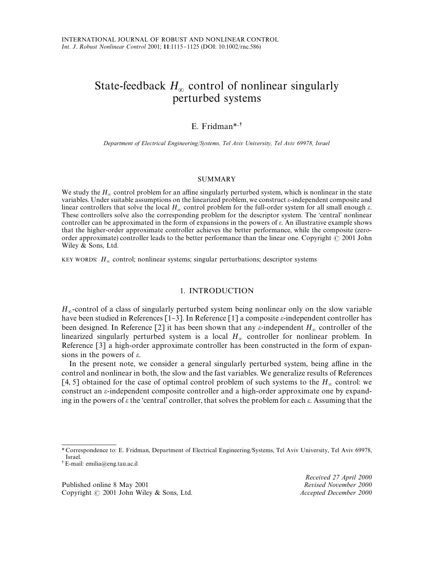# State-feedback  $H_{\infty}$  control of nonlinear singularly perturbed systems

# E. Fridman*\**-

*Department of Electrical Engineering*/*Systems, Tel Aviv University, Tel Aviv 69978, Israel*

#### SUMMARY

We study the  $H_{\infty}$  control problem for an affine singularly perturbed system, which is nonlinear in the state variables. Under suitable assumptions on the linearized problem, we construct  $\varepsilon$ -independent composite and linear controllers that solve the local  $H_{\infty}$  control problem for the full-order system for all small enough  $\varepsilon$ . These controllers solve also the corresponding problem for the descriptor system. The 'central' nonlinear controller can be approximated in the form of expansions in the powers of  $\varepsilon$ . An illustrative example shows that the higher-order approximate controller achieves the better performance, while the composite (zeroorder approximate) controller leads to the better performance than the linear one. Copyright  $\odot$  2001 John Wiley & Sons, Ltd.

KEY WORDS:  $H_{\infty}$  control; nonlinear systems; singular perturbations; descriptor systems

### 1. INTRODUCTION

 $H_{\infty}$ -control of a class of singularly perturbed system being nonlinear only on the slow variable have been studied in References [1-3]. In Reference [1] a composite  $\varepsilon$ -independent controller has been designed. In Reference [2] it has been shown that any  $\varepsilon$ -independent  $H_{\infty}$  controller of the linearized singularly perturbed system is a local  $H_{\infty}$  controller for nonlinear problem. In Reference [3] a high-order approximate controller has been constructed in the form of expansions in the powers of  $\varepsilon$ .

In the present note, we consider a general singularly perturbed system, being affine in the control and nonlinear in both, the slow and the fast variables. We generalize results of References [4, 5] obtained for the case of optimal control problem of such systems to the  $H_{\infty}$  control: we construct an  $\varepsilon$ -independent composite controller and a high-order approximate one by expanding in the powers of  $\varepsilon$  the 'central' controller, that solves the problem for each  $\varepsilon$ . Assuming that the

Published online 8 May 2001 Copyright 2001 John Wiley & Sons, Ltd. *Accepted December 2000*

*Received 27 April 2000*

*<sup>\*</sup>* Correspondence to: E. Fridman, Department of Electrical Engineering/Systems, Tel Aviv University, Tel Aviv 69978, Israel.

E-mail: emilia@eng.tau.ac.il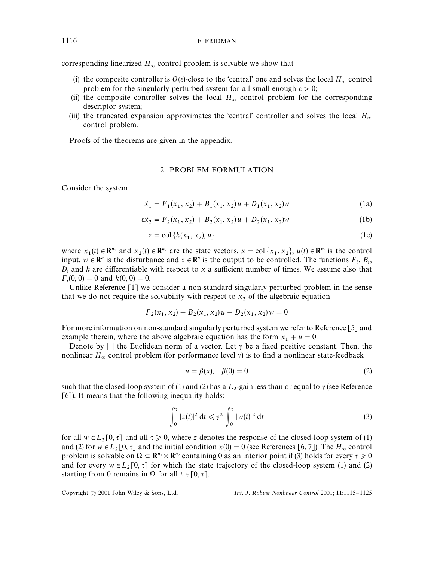# 1116 E. FRIDMAN

corresponding linearized  $H_{\infty}$  control problem is solvable we show that

- (i) the composite controller is  $O(\varepsilon)$ -close to the 'central' one and solves the local  $H_{\infty}$  control problem for the singularly perturbed system for all small enough  $\varepsilon > 0$ ;
- (ii) the composite controller solves the local  $H_{\infty}$  control problem for the corresponding descriptor system;
- (iii) the truncated expansion approximates the 'central' controller and solves the local  $H_{\infty}$  control problem.

Proofs of the theorems are given in the appendix.

# 2. PROBLEM FORMULATION

Consider the system

$$
\dot{x}_1 = F_1(x_1, x_2) + B_1(x_1, x_2)u + D_1(x_1, x_2)w
$$
\n(1a)

$$
\varepsilon \dot{x}_2 = F_2(x_1, x_2) + B_2(x_1, x_2)u + D_2(x_1, x_2)w
$$
 (1b)

$$
z = \text{col}\left\{k(x_1, x_2), u\right\} \tag{1c}
$$

where  $x_1(t) \in \mathbb{R}^{n_1}$  and  $x_2(t) \in \mathbb{R}^{n_2}$  are the state vectors,  $x = \text{col}\{x_1, x_2\}$ ,  $u(t) \in \mathbb{R}^m$  is the control input,  $w \in \mathbb{R}^q$  is the disturbance and  $z \in \mathbb{R}^s$  is the output to be controlled. The functions  $F_i$ ,  $B_i$ ,  $D_i$  and *k* are differentiable with respect to *x* a sufficient number of times. We assume also that  $F_i(0, 0) = 0$  and  $k(0, 0) = 0$ .

Unlike Reference [1] we consider a non-standard singularly perturbed problem in the sense that we do not require the solvability with respect to  $x_2$  of the algebraic equation

$$
F_2(x_1, x_2) + B_2(x_1, x_2)u + D_2(x_1, x_2)w = 0
$$

For more information on non-standard singularly perturbed system we refer to Reference [5] and example therein, where the above algebraic equation has the form  $x_1 + u = 0$ .

Denote by  $|\cdot|$  the Euclidean norm of a vector. Let  $\gamma$  be a fixed positive constant. Then, the nonlinear  $H_{\infty}$  control problem (for performance level  $\gamma$ ) is to find a nonlinear state-feedback

$$
u = \beta(x), \quad \beta(0) = 0 \tag{2}
$$

such that the closed-loop system of (1) and (2) has a  $L_2$ -gain less than or equal to  $\gamma$  (see Reference [6]). It means that the following inequality holds:

$$
\int_0^{\tau} |z(t)|^2 dt \leq \gamma^2 \int_0^{\tau} |w(t)|^2 dt
$$
 (3)

for all  $w \in L_2[0, \tau]$  and all  $\tau \ge 0$ , where *z* denotes the response of the closed-loop system of (1) and (2) for  $w \in L_2[0, \tau]$  and the initial condition  $x(0) = 0$  (see References [6, 7]). The  $H_\infty$  control problem is solvable on  $\Omega \subset \mathbb{R}^{n_1} \times \mathbb{R}^{n_2}$  containing 0 as an interior point if (3) holds for every  $\tau \ge 0$ and for every  $w \in L_2[0, \tau]$  for which the state trajectory of the closed-loop system (1) and (2) starting from 0 remains in  $\Omega$  for all  $t \in [0, \tau]$ .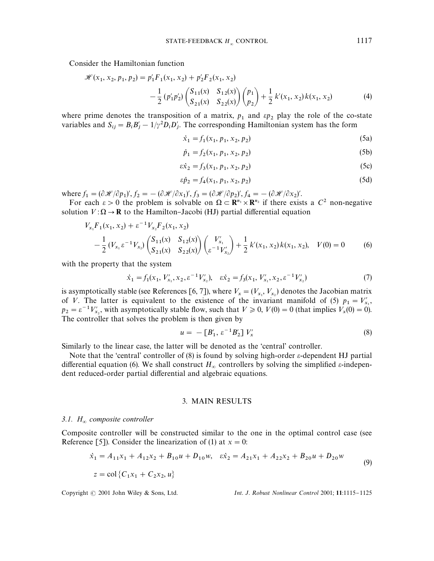Consider the Hamiltonian function

$$
\mathcal{H}(x_1, x_2, p_1, p_2) = p'_1 F_1(x_1, x_2) + p'_2 F_2(x_1, x_2)
$$
  

$$
-\frac{1}{2} (p'_1 p'_2) \begin{pmatrix} S_{11}(x) & S_{12}(x) \\ S_{21}(x) & S_{22}(x) \end{pmatrix} {p_1 \choose p_2} + \frac{1}{2} k'(x_1, x_2) k(x_1, x_2)
$$
(4)

where prime denotes the transposition of a matrix,  $p_1$  and  $\epsilon p_2$  play the role of the co-state variables and  $S_{ij} = B_i B'_j - 1/\gamma^2 D_i D'_j$ . The corresponding Hamiltonian system has the form

$$
\dot{x}_1 = f_1(x_1, p_1, x_2, p_2) \tag{5a}
$$

$$
\dot{p}_1 = f_2(x_1, p_1, x_2, p_2) \tag{5b}
$$

$$
\varepsilon \dot{x}_2 = f_3(x_1, p_1, x_2, p_2) \tag{5c}
$$

$$
\varepsilon \dot{p}_2 = f_4(x_1, p_1, x_2, p_2) \tag{5d}
$$

where  $f_1 = (\partial \mathcal{H}/\partial p_1)'$ ,  $f_2 = -(\partial \mathcal{H}/\partial x_1)'$ ,  $f_3 = (\partial \mathcal{H}/\partial p_2)'$ ,  $f_4 = -(\partial \mathcal{H}/\partial x_2)'$ .

For each  $\varepsilon > 0$  the problem is solvable on  $\Omega \subset \mathbb{R}^{n_1} \times \mathbb{R}^{n_2}$  if there exists a  $C^2$  non-negative solution  $V: \Omega \to \mathbf{R}$  to the Hamilton–Jacobi (HJ) partial differential equation

$$
V_{x_1}F_1(x_1, x_2) + \varepsilon^{-1} V_{x_2}F_2(x_1, x_2)
$$
  
 
$$
- \frac{1}{2} (V_{x_1} \varepsilon^{-1} V_{x_2}) \begin{pmatrix} S_{11}(x) & S_{12}(x) \\ S_{21}(x) & S_{22}(x) \end{pmatrix} \begin{pmatrix} V'_{x_1} \\ \varepsilon^{-1} V'_{x_2} \end{pmatrix} + \frac{1}{2} k'(x_1, x_2) k(x_1, x_2), \quad V(0) = 0 \quad (6)
$$

with the property that the system

$$
\dot{x}_1 = f_1(x_1, V'_{x_1}, x_2, \varepsilon^{-1} V'_{x_2}), \quad \varepsilon \dot{x}_2 = f_3(x_1, V'_{x_1}, x_2, \varepsilon^{-1} V'_{x_2}) \tag{7}
$$

is asymptotically stable (see References [6, 7]), where  $V_x = (V_{x_1}, V_{x_2})$  denotes the Jacobian matrix of V. The latter is equivalent to the existence of the invariant manifold of (5)  $p_1 = V'_{x_1}$  $p_2 = \varepsilon^{-1} V'_{x_2}$ , with asymptotically stable flow, such that  $V \ge 0$ ,  $V(0) = 0$  (that implies  $V_x(0) = 0$ ). The controller that solves the problem is then given by

$$
u = -[B'_1, \varepsilon^{-1} B'_2] V'_x \tag{8}
$$

Similarly to the linear case, the latter will be denoted as the 'central' controller.

Note that the 'central' controller of (8) is found by solving high-order  $\varepsilon$ -dependent HJ partial differential equation (6). We shall construct  $H_{\infty}$  controllers by solving the simplified  $\varepsilon$ -independent reduced-order partial differential and algebraic equations.

# 3. MAIN RESULTS

#### *3.1. H composite controller*

Composite controller will be constructed similar to the one in the optimal control case (see Reference [5]). Consider the linearization of (1) at  $x = 0$ :

$$
\dot{x}_1 = A_{11}x_1 + A_{12}x_2 + B_{10}u + D_{10}w, \quad \varepsilon \dot{x}_2 = A_{21}x_1 + A_{22}x_2 + B_{20}u + D_{20}w
$$
  
\n
$$
z = \text{col}\left\{C_1x_1 + C_2x_2, u\right\}
$$
 (9)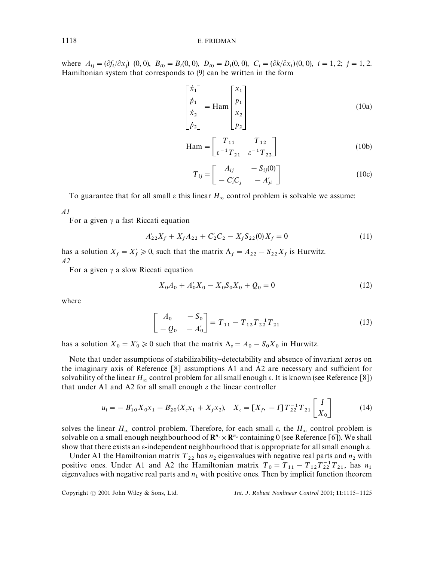where  $A_{ij} = (\partial f_i / \partial x_j)$  (0, 0),  $B_{i0} = B_i (0, 0)$ ,  $D_{i0} = D_i (0, 0)$ ,  $C_i = (\partial k / \partial x_i) (0, 0)$ ,  $i = 1, 2$ ;  $j = 1, 2$ . Hamiltonian system that corresponds to (9) can be written in the form

$$
\begin{bmatrix} \dot{x}_1 \\ \dot{p}_1 \\ \dot{x}_2 \\ \dot{p}_2 \end{bmatrix} = \text{Ham} \begin{bmatrix} x_1 \\ p_1 \\ x_2 \\ p_2 \end{bmatrix}
$$
 (10a)

$$
\text{Ham} = \begin{bmatrix} T_{11} & T_{12} \\ \varepsilon^{-1} T_{21} & \varepsilon^{-1} T_{22} \end{bmatrix} \tag{10b}
$$

$$
T_{ij} = \begin{bmatrix} A_{ij} & -S_{ij}(0) \\ -C'_iC_j & -A'_{ji} \end{bmatrix}
$$
 (10c)

To guarantee that for all small  $\varepsilon$  this linear  $H_{\infty}$  control problem is solvable we assume:

*A1*

For a given  $\gamma$  a fast Riccati equation

$$
A'_{22}X_f + X_f A_{22} + C'_2 C_2 - X_f S_{22}(0) X_f = 0
$$
\n(11)

has a solution  $X_f = X'_f \ge 0$ , such that the matrix  $\Lambda_f = A_{22} - S_{22}X_f$  is Hurwitz. *A2*

For a given  $\gamma$  a slow Riccati equation

$$
X_0 A_0 + A'_0 X_0 - X_0 S_0 X_0 + Q_0 = 0
$$
\n(12)

where

$$
\begin{bmatrix} A_0 & -S_0 \ -Q_0 & -A'_0 \end{bmatrix} = T_{11} - T_{12} T_{22}^{-1} T_{21}
$$
 (13)

has a solution  $X_0 = X'_0 \ge 0$  such that the matrix  $\Lambda_s = A_0 - S_0 X_0$  in Hurwitz.

Note that under assumptions of stabilizability-detectability and absence of invariant zeros on the imaginary axis of Reference  $\lceil 8 \rceil$  assumptions A1 and A2 are necessary and sufficient for solvability of the linear  $H_{\infty}$  control problem for all small enough  $\varepsilon$ . It is known (see Reference [8]) that under A1 and A2 for all small enough  $\varepsilon$  the linear controller

$$
u_{l} = -B'_{10}X_{0}x_{1} - B'_{20}(X_{c}x_{1} + X_{f}x_{2}), \quad X_{c} = [X_{f}, -I]T_{22}^{-1}T_{21} \begin{bmatrix} I \\ X_{0} \end{bmatrix}
$$
(14)

solves the linear  $H_{\infty}$  control problem. Therefore, for each small  $\varepsilon$ , the  $H_{\infty}$  control problem is solvable on a small enough neighbourhood of  $\mathbb{R}^{n_1} \times \mathbb{R}^{n_2}$  containing 0 (see Reference [6]). We shall show that there exists an  $\varepsilon$ -independent neighbourhood that is appropriate for all small enough  $\varepsilon$ .

Under A1 the Hamiltonian matrix  $T_{22}$  has  $n_2$  eigenvalues with negative real parts and  $n_2$  with positive ones. Under A1 and A2 the Hamiltonian matrix  $T_0 = T_{11} - T_{12}T_{22}^{-1}T_{21}$ , has *n* positive ones. Once AT and A2 the Hammonian matrix  $T_0 = T_{11} = T_{12}T_{22}T_{21}$ , has  $n_1$  eigenvalues with negative real parts and  $n_1$  with positive ones. Then by implicit function theorem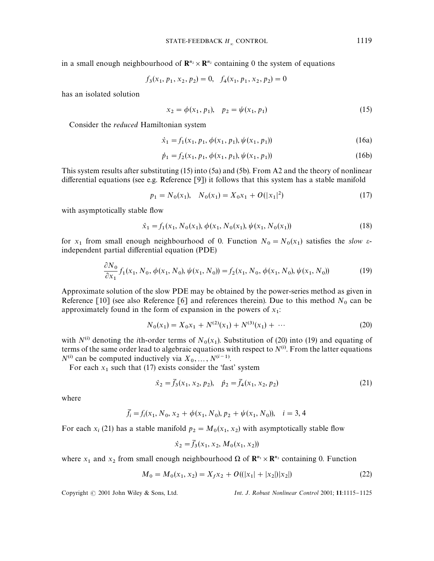in a small enough neighbourhood of  $\mathbb{R}^{n_2} \times \mathbb{R}^{n_2}$  containing 0 the system of equations

$$
f_3(x_1, p_1, x_2, p_2) = 0, \quad f_4(x_1, p_1, x_2, p_2) = 0
$$

has an isolated solution

$$
x_2 = \phi(x_1, p_1), \quad p_2 = \psi(x_1, p_1) \tag{15}
$$

Consider the *reduced* Hamiltonian system

$$
\dot{x}_1 = f_1(x_1, p_1, \phi(x_1, p_1), \psi(x_1, p_1))
$$
\n(16a)

$$
\dot{p}_1 = f_2(x_1, p_1, \phi(x_1, p_1), \psi(x_1, p_1))
$$
\n(16b)

This system results after substituting (15) into (5a) and (5b). From A2 and the theory of nonlinear differential equations (see e.g. Reference  $[9]$ ) it follows that this system has a stable manifold

$$
p_1 = N_0(x_1), \quad N_0(x_1) = X_0x_1 + O(|x_1|^2) \tag{17}
$$

with asymptotically stable flow

$$
\dot{x}_1 = f_1(x_1, N_0(x_1), \phi(x_1, N_0(x_1), \psi(x_1, N_0(x_1)))
$$
\n(18)

for  $x_1$  from small enough neighbourhood of 0. Function  $N_0 = N_0(x_1)$  satisfies the *slow*  $\varepsilon$ independent partial differential equation (PDE)

$$
\frac{\partial N_0}{\partial x_1} f_1(x_1, N_0, \phi(x_1, N_0), \psi(x_1, N_0)) = f_2(x_1, N_0, \phi(x_1, N_0), \psi(x_1, N_0))
$$
\n(19)

Approximate solution of the slow PDE may be obtained by the power-series method as given in Reference [10] (see also Reference [6] and references therein). Due to this method  $N_0$  can be approximately found in the form of expansion in the powers of *<sup>x</sup>* :

$$
N_0(x_1) = X_0 x_1 + N^{(2)}(x_1) + N^{(3)}(x_1) + \cdots
$$
\n(20)

with  $N^{(i)}$  denoting the *i*th-order terms of  $N_0(x_1)$ . Substitution of (20) into (19) and equating of with  $N^{\alpha}$  denoting the *t*th-order terms of  $N_0(x_1)$ . Substitution of (20) filto (19) and equating or terms of the same order lead to algebraic equations with respect to  $N^{(i)}$ . From the latter equations  $N^{(i)}$  can be computed inductively via  $X_0, \ldots, N^{(i-1)}$ .

For each  $x_1$  such that (17) exists consider the 'fast' system

$$
\dot{x}_2 = \bar{f}_3(x_1, x_2, p_2), \quad \dot{p}_2 = \bar{f}_4(x_1, x_2, p_2)
$$
\n(21)

where

$$
\bar{f}_i = f_i(x_1, N_0, x_2 + \phi(x_1, N_0), p_2 + \psi(x_1, N_0)), \quad i = 3, 4
$$

For each  $x_i$  (21) has a stable manifold  $p_2 = M_0(x_1, x_2)$  with asymptotically stable flow

$$
\dot{x}_2 = \bar{f}_3(x_1, x_2, M_0(x_1, x_2))
$$

where  $x_1$  and  $x_2$  from small enough neighbourhood  $\Omega$  of  $\mathbb{R}^{n_1} \times \mathbb{R}^{n_2}$  containing 0. Function

$$
M_0 = M_0(x_1, x_2) = X_f x_2 + O((|x_1| + |x_2|)|x_2|)
$$
\n(22)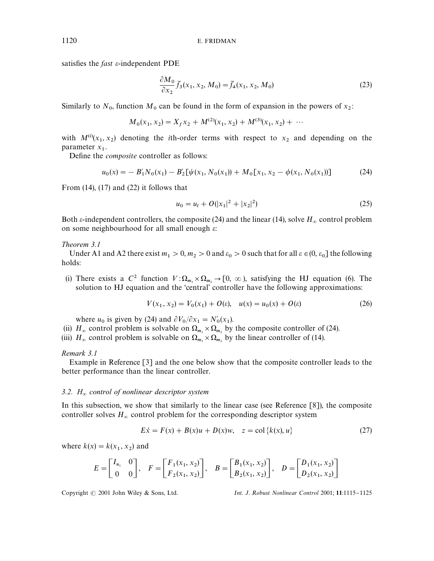satisfies the *fast*  $\varepsilon$ -independent PDE

$$
\frac{\partial M_0}{\partial x_2} \bar{f}_3(x_1, x_2, M_0) = \bar{f}_4(x_1, x_2, M_0)
$$
\n(23)

Similarly to  $N_0$ , function  $M_0$  can be found in the form of expansion in the powers of  $x_2$ :

$$
M_0(x_1, x_2) = X_f x_2 + M^{(2)}(x_1, x_2) + M^{(3)}(x_1, x_2) + \cdots
$$

with  $M^{(i)}(x_1, x_2)$  denoting the *i*th-order terms with respect to  $x_2$  and depending on the parameter  $x_1$ .

Define the *composite* controller as follows:

$$
u_0(x) = -B'_1 N_0(x_1) - B'_2 [\psi(x_1, N_0(x_1)) + M_0 [x_1, x_2 - \phi(x_1, N_0(x_1))]
$$
(24)

From  $(14)$ ,  $(17)$  and  $(22)$  it follows that

$$
u_0 = u_1 + O(|x_1|^2 + |x_2|^2)
$$
 (25)

Both  $\varepsilon$ -independent controllers, the composite (24) and the linear (14), solve  $H_{\infty}$  control problem on some neighbourhood for all small enough  $\varepsilon$ :

#### *Theorem 3.1*

Under A1 and A2 there exist  $m_1 > 0$ ,  $m_2 > 0$  and  $\varepsilon_0 > 0$  such that for all  $\varepsilon \in (0, \varepsilon_0]$  the following holds:

(i) There exists a  $C^2$  function  $V: \Omega_{m_1} \times \Omega_{m_2} \to [0, \infty)$ , satisfying the HJ equation (6). The solution to HJ equation and the 'central' controller have the following approximations:

$$
V(x_1, x_2) = V_0(x_1) + O(\varepsilon), \quad u(x) = u_0(x) + O(\varepsilon)
$$
\n(26)

where  $u_0$  is given by (24) and  $\frac{\partial V_0}{\partial x_1} = N'_0(x_1)$ .

- (ii)  $H_{\infty}$  control problem is solvable on  $\Omega_{m_1} \times \Omega_{m_2}$  by the composite controller of (24).
- (iii)  $H_{\infty}$  control problem is solvable on  $\Omega_{m_1} \times \Omega_{m_2}$  by the linear controller of (14).

*Remark 3.1*

Example in Reference [3] and the one below show that the composite controller leads to the better performance than the linear controller.

#### *3.2. H control of nonlinear descriptor system*

In this subsection, we show that similarly to the linear case (see Reference [8]), the composite controller solves  $H_{\infty}$  control problem for the corresponding descriptor system

$$
E\dot{x} = F(x) + B(x)u + D(x)w, \quad z = \text{col}\{k(x), u\}
$$
 (27)

where  $k(x) = k(x_1, x_2)$  and

$$
E = \begin{bmatrix} I_{n_1} & 0 \\ 0 & 0 \end{bmatrix}, \quad F = \begin{bmatrix} F_1(x_1, x_2) \\ F_2(x_1, x_2) \end{bmatrix}, \quad B = \begin{bmatrix} B_1(x_1, x_2) \\ B_2(x_1, x_2) \end{bmatrix}, \quad D = \begin{bmatrix} D_1(x_1, x_2) \\ D_2(x_1, x_2) \end{bmatrix}
$$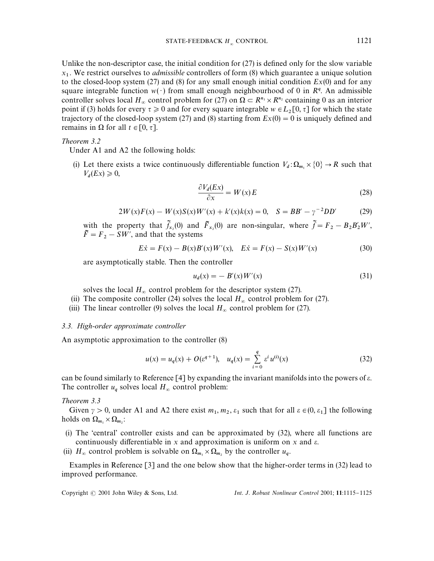Unlike the non-descriptor case, the initial condition for  $(27)$  is defined only for the slow variable  $x_1$ . We restrict ourselves to *admissible* controllers of form (8) which guarantee a unique solution to the closed-loop system (27) and (8) for any small enough initial condition *Ex*(0) and for any square integrable function  $w(\cdot)$  from small enough neighbourhood of 0 in  $R^q$ . An admissible controller solves local  $H_{\infty}$  control problem for (27) on  $\Omega \subset R^{n_1} \times R^{n_2}$  containing 0 as an interior point if (3) holds for every  $\tau \ge 0$  and for every square integrable  $w \in L_2[0, \tau]$  for which the state trajectory of the closed-loop system (27) and (8) starting from  $Ex(0) = 0$  is uniquely defined and remains in  $\Omega$  for all  $t \in [0, \tau]$ .

*Theorem 3.2*

Under A1 and A2 the following holds:

(i) Let there exists a twice continuously differentiable function  $V_d : \Omega_{m_1} \times \{0\} \to R$  such that  $V_d(EX) \geq 0,$ 

$$
\frac{\partial V_d(Ex)}{\partial x} = W(x)E\tag{28}
$$

$$
2W(x)F(x) - W(x)S(x)W'(x) + k'(x)k(x) = 0, \quad S = BB' - \gamma^{-2}DD'
$$
 (29)

with the property that  $\tilde{f}_{x_2}(0)$  and  $\tilde{F}_{x_2}(0)$  are non-singular, where  $\tilde{f} = F_2 - B_2 B_2' W'$ ,  $\tilde{F} = F_2 - SW'$ , and that the systems

$$
E\dot{x} = F(x) - B(x)B'(x)W'(x), \quad E\dot{x} = F(x) - S(x)W'(x)
$$
\n(30)

are asymptotically stable. Then the controller

$$
u_d(x) = - B'(x)W'(x)
$$
\n(31)

solves the local  $H_{\infty}$  control problem for the descriptor system (27).

- (ii) The composite controller (24) solves the local  $H_{\infty}$  control problem for (27).
- (iii) The linear controller (9) solves the local  $H_{\infty}$  control problem for (27).

*3.3. High-order approximate controller*

An asymptotic approximation to the controller (8)

$$
u(x) = u_q(x) + O(\varepsilon^{q+1}), \quad u_q(x) = \sum_{i=0}^q \varepsilon^i u^{(i)}(x) \tag{32}
$$

can be found similarly to Reference  $[4]$  by expanding the invariant manifolds into the powers of  $\varepsilon$ . The controller  $u_q$  solves local  $H_\infty$  control problem:

*Theorem 3.3*

Given  $\gamma > 0$ , under A1 and A2 there exist  $m_1, m_2, \varepsilon_1$  such that for all  $\varepsilon \in (0, \varepsilon_1]$  the following holds on  $\Omega_{m_1} \times \Omega_{m_2}$ :

- (i) The 'central' controller exists and can be approximated by  $(32)$ , where all functions are continuously differentiable in  $x$  and approximation is uniform on  $x$  and  $\varepsilon$ .
- (ii)  $H_{\infty}$  control problem is solvable on  $\Omega_{m_1} \times \Omega_{m_2}$  by the controller  $u_q$ .

Examples in Reference [3] and the one below show that the higher-order terms in (32) lead to improved performance.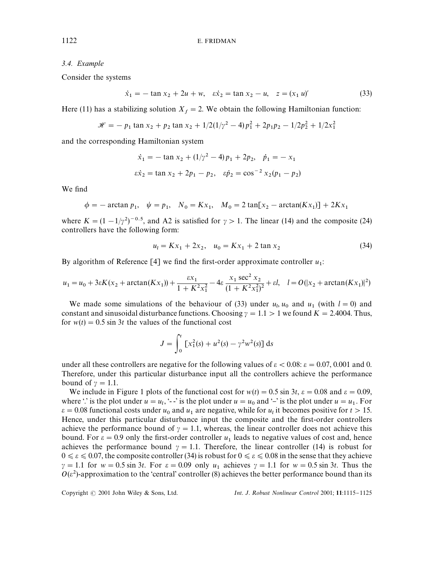# *3.4. Example*

Consider the systems

$$
\dot{x}_1 = -\tan x_2 + 2u + w, \quad \dot{\varepsilon}\dot{x}_2 = \tan x_2 - u, \quad z = (x_1 \, u)'
$$
\n(33)

Here (11) has a stabilizing solution  $X_f = 2$ . We obtain the following Hamiltonian function:

$$
\mathcal{H} = -p_1 \tan x_2 + p_2 \tan x_2 + 1/2(1/\gamma^2 - 4)p_1^2 + 2p_1p_2 - 1/2p_2^2 + 1/2x_1^2
$$

and the corresponding Hamiltonian system

$$
\dot{x}_1 = -\tan x_2 + (1/\gamma^2 - 4)p_1 + 2p_2, \quad \dot{p}_1 = -x_1
$$
  

$$
\varepsilon \dot{x}_2 = \tan x_2 + 2p_1 - p_2, \quad \varepsilon \dot{p}_2 = \cos^{-2} x_2(p_1 - p_2)
$$

We find

$$
\phi = -\arctan p_1, \quad \psi = p_1, \quad N_0 = Kx_1, \quad M_0 = 2\tan[x_2 - \arctan(Kx_1)] + 2Kx_1
$$

where  $K = (1 - 1/\gamma^2)^{-0.5}$ , and A2 is satisfied for  $\gamma > 1$ . The linear (14) and the composite (24) controllers have the following form:

$$
u_1 = Kx_1 + 2x_2, \quad u_0 = Kx_1 + 2 \tan x_2 \tag{34}
$$

By algorithm of Reference  $[4]$  we find the first-order approximate controller  $u_1$ :

$$
u_1 = u_0 + 3\varepsilon K(x_2 + \arctan(Kx_1)) + \frac{\varepsilon x_1}{1 + K^2 x_1^2} - 4\varepsilon \frac{x_1 \sec^2 x_2}{(1 + K^2 x_1^2)^2} + \varepsilon l, \quad l = O(|x_2 + \arctan(Kx_1)|^2)
$$

We made some simulations of the behaviour of (33) under  $u_1$ ,  $u_0$  and  $u_1$  (with  $l = 0$ ) and constant and sinusoidal disturbance functions. Choosing  $\gamma = 1.1 > 1$  we found  $K = 2.4004$ . Thus, for  $w(t) = 0.5 \sin 3t$  the values of the functional cost

$$
J = \int_0^t \left[ x_1^2(s) + u^2(s) - \gamma^2 w^2(s) \right] ds
$$

under all these controllers are negative for the following values of  $\epsilon < 0.08$ :  $\epsilon = 0.07, 0.001$  and 0. Therefore, under this particular disturbance input all the controllers achieve the performance bound of  $\gamma = 1.1$ .

We include in Figure 1 plots of the functional cost for  $w(t) = 0.5 \sin 3t$ ,  $\varepsilon = 0.08$  and  $\varepsilon = 0.09$ , where  $\therefore$  is the plot under  $u = u_1$ ,  $\therefore$  is the plot under  $u = u_0$  and  $\therefore$  is the plot under  $u = u_1$ . For  $\varepsilon = 0.08$  functional costs under  $u_0$  and  $u_1$  are negative, while for  $u_l$  it becomes positive for  $t > 15$ . Hence, under this particular disturbance input the composite and the first-order controllers achieve the performance bound of  $\gamma = 1.1$ , whereas, the linear controller does not achieve this bound. For  $\varepsilon = 0.9$  only the first-order controller  $u_1$  leads to negative values of cost and, hence achieves the performance bound  $\gamma = 1.1$ . Therefore, the linear controller (14) is robust for  $0 \le \varepsilon \le 0.07$ , the composite controller (34) is robust for  $0 \le \varepsilon \le 0.08$  in the sense that they achieve  $\gamma = 1.1$  for  $w = 0.5 \sin 3t$ . For  $\varepsilon = 0.09$  only  $u_1$  achieves  $\gamma = 1.1$  for  $w = 0.5 \sin 3t$ . Thus the  $O(\varepsilon^2)$ -approximation to the 'central' controller (8) achieves the better performance bound than its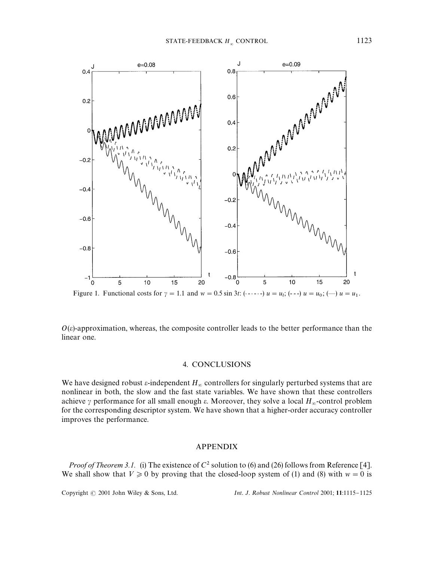

 $O(\varepsilon)$ -approximation, whereas, the composite controller leads to the better performance than the linear one.

#### 4. CONCLUSIONS

We have designed robust  $\varepsilon$ -independent  $H_{\infty}$  controllers for singularly perturbed systems that are nonlinear in both, the slow and the fast state variables. We have shown that these controllers achieve  $\gamma$  performance for all small enough  $\varepsilon$ . Moreover, they solve a local  $H_{\infty}$ -control problem for the corresponding descriptor system. We have shown that a higher-order accuracy controller improves the performance.

## APPENDIX

*Proof of Theorem 3.1.* (i) The existence of  $C^2$  solution to (6) and (26) follows from Reference [4]. We shall show that  $V \ge 0$  by proving that the closed-loop system of (1) and (8) with  $w = 0$  is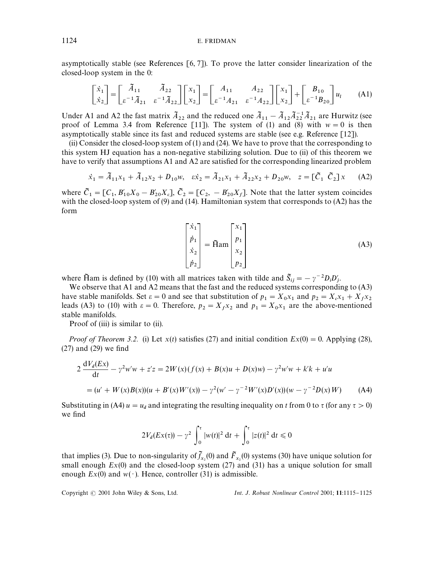asymptotically stable (see References [6, 7]). To prove the latter consider linearization of the closed-loop system in the 0:

$$
\begin{bmatrix} \dot{x}_1 \\ \dot{x}_2 \end{bmatrix} = \begin{bmatrix} \tilde{A}_{11} & \tilde{A}_{22} \\ \varepsilon^{-1} \tilde{A}_{21} & \varepsilon^{-1} \tilde{A}_{22} \end{bmatrix} \begin{bmatrix} x_1 \\ x_2 \end{bmatrix} = \begin{bmatrix} A_{11} & A_{22} \\ \varepsilon^{-1} A_{21} & \varepsilon^{-1} A_{22} \end{bmatrix} \begin{bmatrix} x_1 \\ x_2 \end{bmatrix} + \begin{bmatrix} B_{10} \\ \varepsilon^{-1} B_{20} \end{bmatrix} u_l \tag{A1}
$$

Under A1 and A2 the fast matrix  $\tilde{A}_{22}$  and the reduced one  $\tilde{A}_{11} - \tilde{A}_{12} \tilde{A}_{22}^{-1} \tilde{A}_{21}$  are Hurwitz (see proof of Lemma 3.4 from Reference [11]). The system of (1) and (8) with  $w = 0$  is then asymptotically stable since its fast and reduced systems are stable (see e.g. Reference [12]).

(ii) Consider the closed-loop system of (1) and (24). We have to prove that the corresponding to this system HJ equation has a non-negative stabilizing solution. Due to (ii) of this theorem we have to verify that assumptions A1 and A2 are satisfied for the corresponding linearized problem

$$
\dot{x}_1 = \tilde{A}_{11}x_1 + \tilde{A}_{12}x_2 + D_{10}w, \quad \dot{\varepsilon}\dot{x}_2 = \tilde{A}_{21}x_1 + \tilde{A}_{22}x_2 + D_{20}w, \quad z = [\tilde{C}_1 \ \tilde{C}_2]x \tag{A2}
$$

where  $\tilde{C}_1 = [C_1, B'_{10}X_0 - B'_{20}X_c], \ \tilde{C}_2 = [C_2, -B'_{20}X_f].$  Note that the latter system coincides with the closed-loop system of (9) and (14). Hamiltonian system that corresponds to (A2) has the form

$$
\begin{bmatrix} \dot{x}_1 \\ \dot{p}_1 \\ \dot{x}_2 \\ \dot{p}_2 \end{bmatrix} = \tilde{H}am \begin{bmatrix} x_1 \\ p_1 \\ x_2 \\ p_2 \end{bmatrix}
$$
 (A3)

where Ham is defined by (10) with all matrices taken with tilde and  $\tilde{S}_{ij} = -\gamma^{-2} D_i D'_j$ .

 We observe that A1 and A2 means that the fast and the reduced systems corresponding to (A3) have stable manifolds. Set  $\varepsilon = 0$  and see that substitution of  $p_1 = X_0 x_1$  and  $p_2 = X_c x_1 + X_f x_2$  $1 - A_0 \lambda_1$  and  $p_2 - A_c \lambda_1 + A_c$ have stable manifolds. Set  $\varepsilon = 0$  and see that substitution of  $p_1 = X_0x_1$  and  $p_2 = X_cx_1 + X_fx_2$ <br>leads (A3) to (10) with  $\varepsilon = 0$ . Therefore,  $p_2 = X_fx_2$  and  $p_1 = X_0x_1$  are the above-mentioned stable manifolds.

Proof of (iii) is similar to (ii).

*Proof of Theorem 3.2.* (i) Let  $x(t)$  satisfies (27) and initial condition  $Ex(0) = 0$ . Applying (28),  $(27)$  and  $(29)$  we find

$$
2\frac{dV_d(EX)}{dt} - \gamma^2 w'w + z'z = 2W(x)(f(x) + B(x)u + D(x)w) - \gamma^2 w'w + k'k + u'u
$$
  
=  $(u' + W(x)B(x))(u + B'(x)W'(x)) - \gamma^2(w' - \gamma^{-2}W'(x)D'(x))(w - \gamma^{-2}D(x)W)$  (A4)

Substituting in (A4)  $u = u_d$  and integrating the resulting inequality on *t* from 0 to  $\tau$  (for any  $\tau > 0$ ) we find

$$
2V_d(EX(\tau)) - \gamma^2 \int_0^{\tau} |w(t)|^2 dt + \int_0^{\tau} |z(t)|^2 dt \le 0
$$

that implies (3). Due to non-singularity of  $f_{x_2}(0)$  and  $\overline{F}_{x_2}(0)$  systems (30) have unique solution for small enough  $Ex(0)$  and the closed-loop system  $(27)$  and  $(31)$  has a unique solution for small enough  $Ex(0)$  and  $w(\cdot)$ . Hence, controller (31) is admissible.